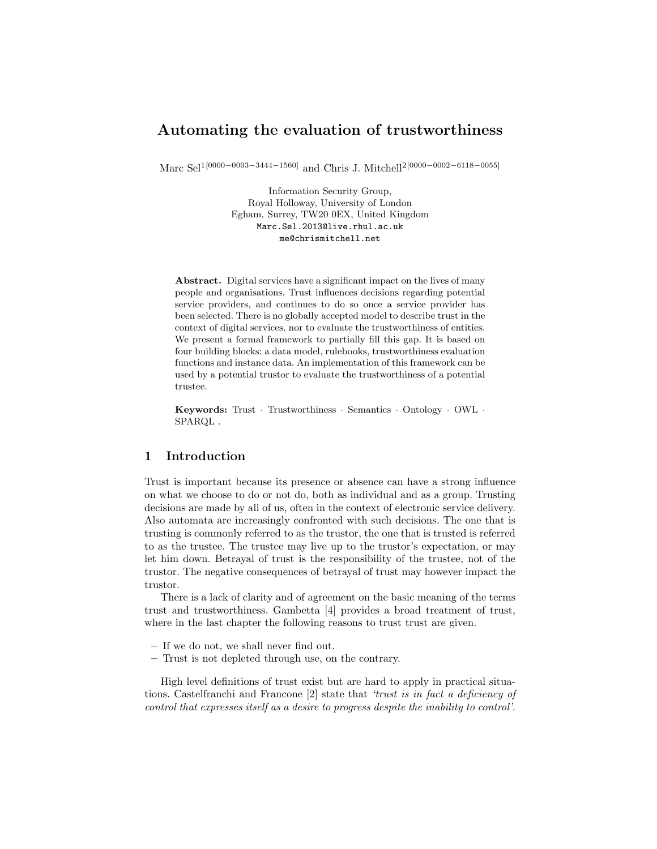# Automating the evaluation of trustworthiness

Marc Sel<sup>1[0000–0003–3444–1560]</sup> and Chris J. Mitchell<sup>2[0000–0002–6118–0055]</sup>

Information Security Group, Royal Holloway, University of London Egham, Surrey, TW20 0EX, United Kingdom Marc.Sel.2013@live.rhul.ac.uk me@chrismitchell.net

Abstract. Digital services have a significant impact on the lives of many people and organisations. Trust influences decisions regarding potential service providers, and continues to do so once a service provider has been selected. There is no globally accepted model to describe trust in the context of digital services, nor to evaluate the trustworthiness of entities. We present a formal framework to partially fill this gap. It is based on four building blocks: a data model, rulebooks, trustworthiness evaluation functions and instance data. An implementation of this framework can be used by a potential trustor to evaluate the trustworthiness of a potential trustee.

Keywords: Trust · Trustworthiness · Semantics · Ontology · OWL · SPARQL .

# 1 Introduction

Trust is important because its presence or absence can have a strong influence on what we choose to do or not do, both as individual and as a group. Trusting decisions are made by all of us, often in the context of electronic service delivery. Also automata are increasingly confronted with such decisions. The one that is trusting is commonly referred to as the trustor, the one that is trusted is referred to as the trustee. The trustee may live up to the trustor's expectation, or may let him down. Betrayal of trust is the responsibility of the trustee, not of the trustor. The negative consequences of betrayal of trust may however impact the trustor.

There is a lack of clarity and of agreement on the basic meaning of the terms trust and trustworthiness. Gambetta [4] provides a broad treatment of trust, where in the last chapter the following reasons to trust trust are given.

- If we do not, we shall never find out.
- Trust is not depleted through use, on the contrary.

High level definitions of trust exist but are hard to apply in practical situations. Castelfranchi and Francone [2] state that 'trust is in fact a deficiency of control that expresses itself as a desire to progress despite the inability to control'.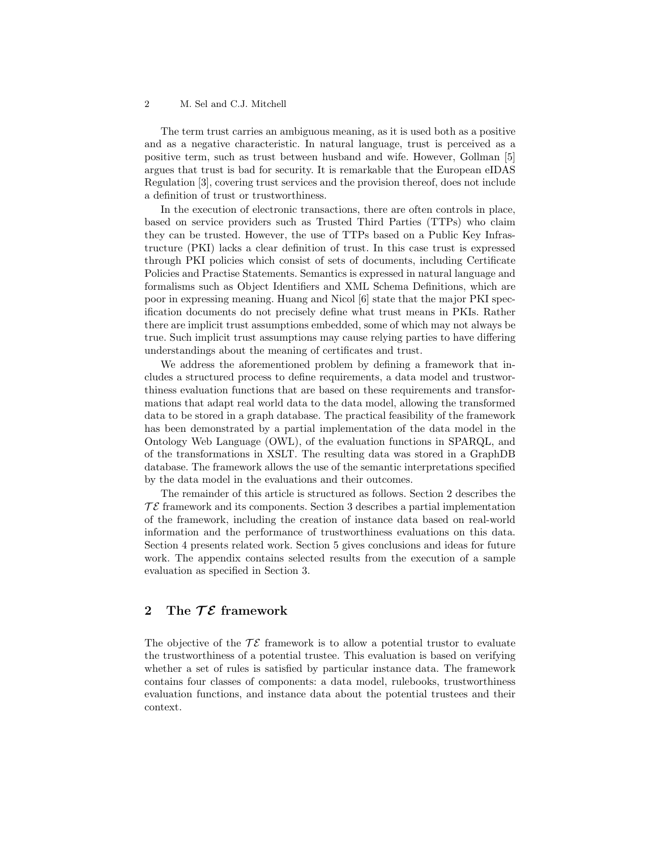#### 2 M. Sel and C.J. Mitchell

The term trust carries an ambiguous meaning, as it is used both as a positive and as a negative characteristic. In natural language, trust is perceived as a positive term, such as trust between husband and wife. However, Gollman [5] argues that trust is bad for security. It is remarkable that the European eIDAS Regulation [3], covering trust services and the provision thereof, does not include a definition of trust or trustworthiness.

In the execution of electronic transactions, there are often controls in place, based on service providers such as Trusted Third Parties (TTPs) who claim they can be trusted. However, the use of TTPs based on a Public Key Infrastructure (PKI) lacks a clear definition of trust. In this case trust is expressed through PKI policies which consist of sets of documents, including Certificate Policies and Practise Statements. Semantics is expressed in natural language and formalisms such as Object Identifiers and XML Schema Definitions, which are poor in expressing meaning. Huang and Nicol [6] state that the major PKI specification documents do not precisely define what trust means in PKIs. Rather there are implicit trust assumptions embedded, some of which may not always be true. Such implicit trust assumptions may cause relying parties to have differing understandings about the meaning of certificates and trust.

We address the aforementioned problem by defining a framework that includes a structured process to define requirements, a data model and trustworthiness evaluation functions that are based on these requirements and transformations that adapt real world data to the data model, allowing the transformed data to be stored in a graph database. The practical feasibility of the framework has been demonstrated by a partial implementation of the data model in the Ontology Web Language (OWL), of the evaluation functions in SPARQL, and of the transformations in XSLT. The resulting data was stored in a GraphDB database. The framework allows the use of the semantic interpretations specified by the data model in the evaluations and their outcomes.

The remainder of this article is structured as follows. Section 2 describes the  $\mathcal{TE}$  framework and its components. Section 3 describes a partial implementation of the framework, including the creation of instance data based on real-world information and the performance of trustworthiness evaluations on this data. Section 4 presents related work. Section 5 gives conclusions and ideas for future work. The appendix contains selected results from the execution of a sample evaluation as specified in Section 3.

# 2 The  $\mathcal{TE}$  framework

The objective of the  $\mathcal{TE}$  framework is to allow a potential trustor to evaluate the trustworthiness of a potential trustee. This evaluation is based on verifying whether a set of rules is satisfied by particular instance data. The framework contains four classes of components: a data model, rulebooks, trustworthiness evaluation functions, and instance data about the potential trustees and their context.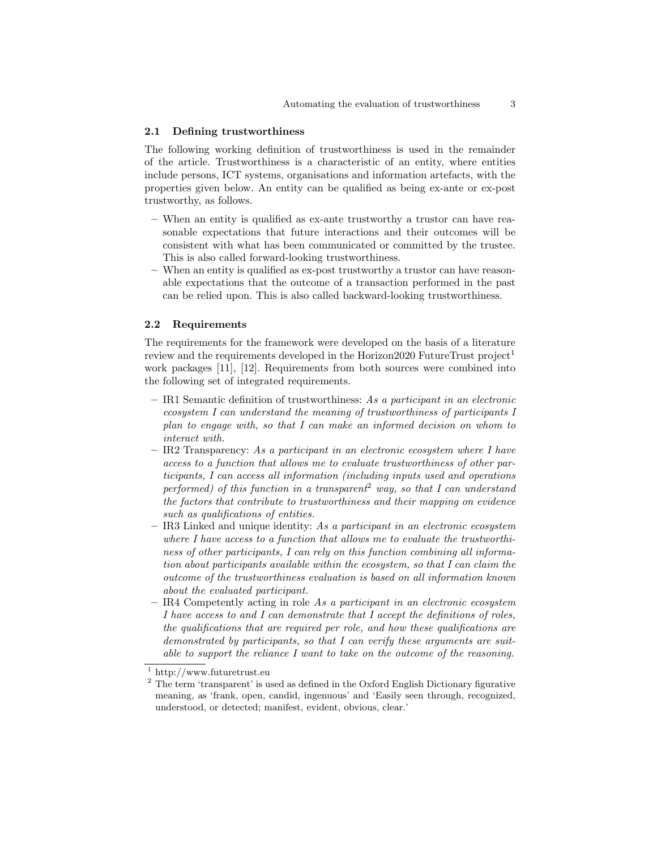#### 2.1 Defining trustworthiness

The following working definition of trustworthiness is used in the remainder of the article. Trustworthiness is a characteristic of an entity, where entities include persons, ICT systems, organisations and information artefacts, with the properties given below. An entity can be qualified as being ex-ante or ex-post trustworthy, as follows.

- When an entity is qualified as ex-ante trustworthy a trustor can have reasonable expectations that future interactions and their outcomes will be consistent with what has been communicated or committed by the trustee. This is also called forward-looking trustworthiness.
- When an entity is qualified as ex-post trustworthy a trustor can have reasonable expectations that the outcome of a transaction performed in the past can be relied upon. This is also called backward-looking trustworthiness.

#### 2.2 Requirements

The requirements for the framework were developed on the basis of a literature review and the requirements developed in the Horizon2020 FutureTrust project<sup>1</sup> work packages [11], [12]. Requirements from both sources were combined into the following set of integrated requirements.

- $-$  IR1 Semantic definition of trustworthiness: As a participant in an electronic ecosystem I can understand the meaning of trustworthiness of participants I plan to engage with, so that I can make an informed decision on whom to interact with.
- $-$  IR2 Transparency: As a participant in an electronic ecosystem where I have access to a function that allows me to evaluate trustworthiness of other participants, I can access all information (including inputs used and operations performed) of this function in a transparent<sup>2</sup> way, so that I can understand the factors that contribute to trustworthiness and their mapping on evidence such as qualifications of entities.
- $-$  IR3 Linked and unique identity: As a participant in an electronic ecosystem where I have access to a function that allows me to evaluate the trustworthiness of other participants, I can rely on this function combining all information about participants available within the ecosystem, so that I can claim the outcome of the trustworthiness evaluation is based on all information known about the evaluated participant.
- IR4 Competently acting in role As a participant in an electronic ecosystem I have access to and I can demonstrate that I accept the definitions of roles, the qualifications that are required per role, and how these qualifications are demonstrated by participants, so that I can verify these arguments are suitable to support the reliance I want to take on the outcome of the reasoning.

<sup>1</sup> http://www.futuretrust.eu

 $2$  The term 'transparent' is used as defined in the Oxford English Dictionary figurative meaning, as 'frank, open, candid, ingenuous' and 'Easily seen through, recognized, understood, or detected; manifest, evident, obvious, clear.'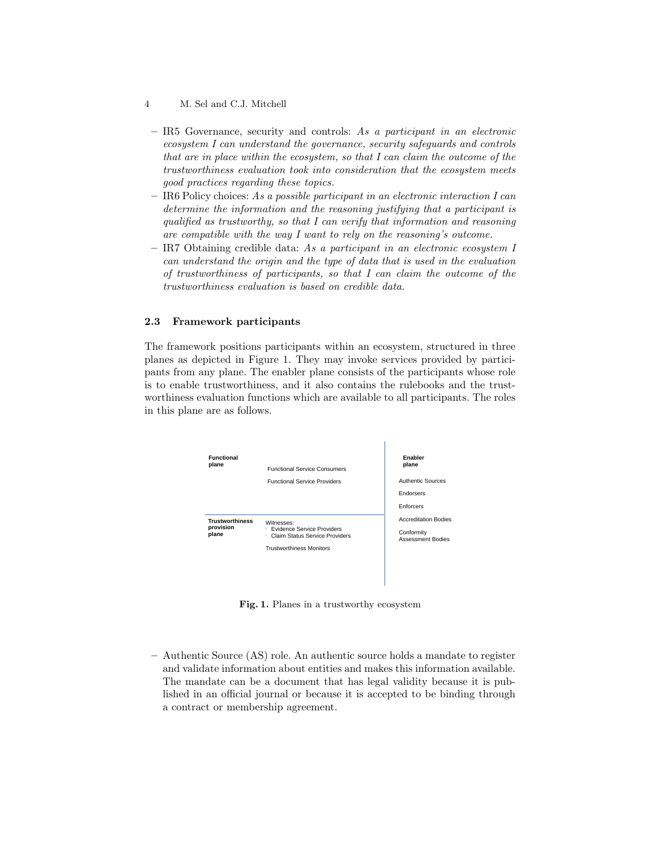- 4 M. Sel and C.J. Mitchell
- IR5 Governance, security and controls: As a participant in an electronic ecosystem I can understand the governance, security safeguards and controls that are in place within the ecosystem, so that I can claim the outcome of the trustworthiness evaluation took into consideration that the ecosystem meets good practices regarding these topics.
- IR6 Policy choices: As a possible participant in an electronic interaction I can determine the information and the reasoning justifying that a participant is qualified as trustworthy, so that I can verify that information and reasoning are compatible with the way I want to rely on the reasoning's outcome.
- IR7 Obtaining credible data: As a participant in an electronic ecosystem I can understand the origin and the type of data that is used in the evaluation of trustworthiness of participants, so that I can claim the outcome of the trustworthiness evaluation is based on credible data.

#### 2.3 Framework participants

The framework positions participants within an ecosystem, structured in three planes as depicted in Figure 1. They may invoke services provided by participants from any plane. The enabler plane consists of the participants whose role is to enable trustworthiness, and it also contains the rulebooks and the trustworthiness evaluation functions which are available to all participants. The roles in this plane are as follows.



Fig. 1. Planes in a trustworthy ecosystem

– Authentic Source (AS) role. An authentic source holds a mandate to register and validate information about entities and makes this information available. The mandate can be a document that has legal validity because it is published in an official journal or because it is accepted to be binding through a contract or membership agreement.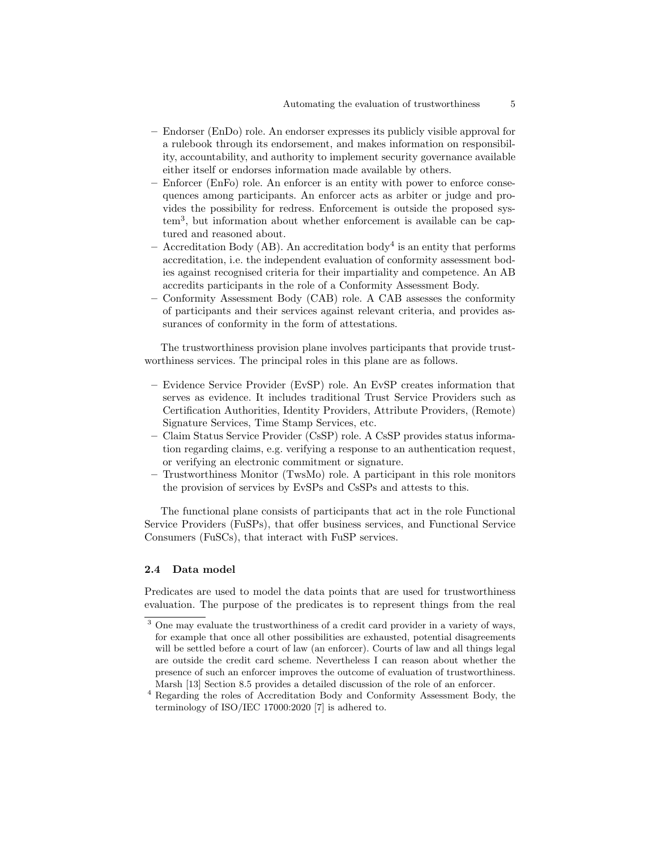- Endorser (EnDo) role. An endorser expresses its publicly visible approval for a rulebook through its endorsement, and makes information on responsibility, accountability, and authority to implement security governance available either itself or endorses information made available by others.
- Enforcer (EnFo) role. An enforcer is an entity with power to enforce consequences among participants. An enforcer acts as arbiter or judge and provides the possibility for redress. Enforcement is outside the proposed system<sup>3</sup> , but information about whether enforcement is available can be captured and reasoned about.
- Accreditation Body (AB). An accreditation body<sup>4</sup> is an entity that performs accreditation, i.e. the independent evaluation of conformity assessment bodies against recognised criteria for their impartiality and competence. An AB accredits participants in the role of a Conformity Assessment Body.
- Conformity Assessment Body (CAB) role. A CAB assesses the conformity of participants and their services against relevant criteria, and provides assurances of conformity in the form of attestations.

The trustworthiness provision plane involves participants that provide trustworthiness services. The principal roles in this plane are as follows.

- Evidence Service Provider (EvSP) role. An EvSP creates information that serves as evidence. It includes traditional Trust Service Providers such as Certification Authorities, Identity Providers, Attribute Providers, (Remote) Signature Services, Time Stamp Services, etc.
- Claim Status Service Provider (CsSP) role. A CsSP provides status information regarding claims, e.g. verifying a response to an authentication request, or verifying an electronic commitment or signature.
- Trustworthiness Monitor (TwsMo) role. A participant in this role monitors the provision of services by EvSPs and CsSPs and attests to this.

The functional plane consists of participants that act in the role Functional Service Providers (FuSPs), that offer business services, and Functional Service Consumers (FuSCs), that interact with FuSP services.

#### 2.4 Data model

Predicates are used to model the data points that are used for trustworthiness evaluation. The purpose of the predicates is to represent things from the real

<sup>&</sup>lt;sup>3</sup> One may evaluate the trustworthiness of a credit card provider in a variety of ways, for example that once all other possibilities are exhausted, potential disagreements will be settled before a court of law (an enforcer). Courts of law and all things legal are outside the credit card scheme. Nevertheless I can reason about whether the presence of such an enforcer improves the outcome of evaluation of trustworthiness. Marsh [13] Section 8.5 provides a detailed discussion of the role of an enforcer.

<sup>4</sup> Regarding the roles of Accreditation Body and Conformity Assessment Body, the terminology of ISO/IEC 17000:2020 [7] is adhered to.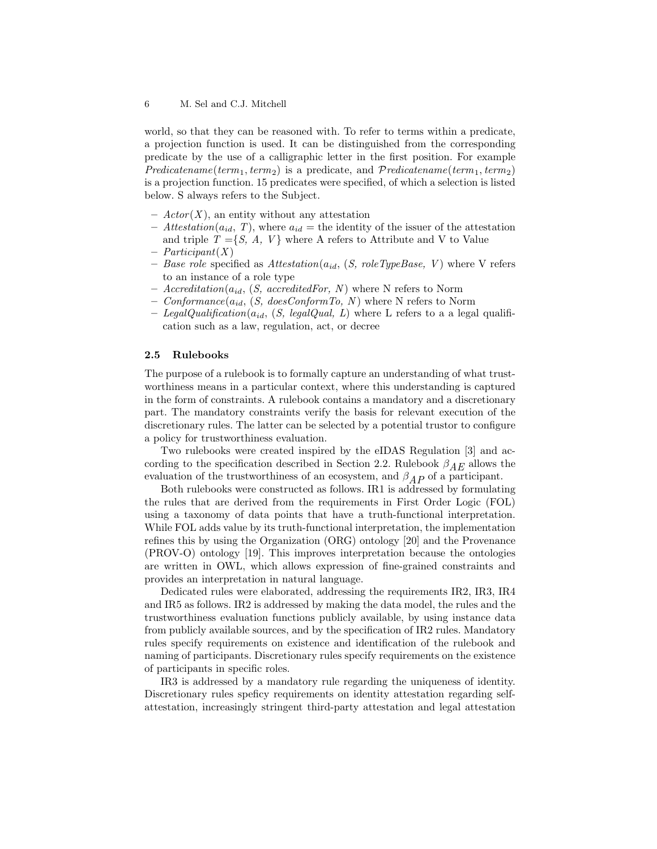world, so that they can be reasoned with. To refer to terms within a predicate, a projection function is used. It can be distinguished from the corresponding predicate by the use of a calligraphic letter in the first position. For example Predicatename(term<sub>1</sub>, term<sub>2</sub>) is a predicate, and Predicatename(term<sub>1</sub>, term<sub>2</sub>) is a projection function. 15 predicates were specified, of which a selection is listed below. S always refers to the Subject.

- $-$  Actor(X), an entity without any attestation
- Attestation $(a_{id}, T)$ , where  $a_{id}$  = the identity of the issuer of the attestation and triple  $T = \{S, A, V\}$  where A refers to Attribute and V to Value
- $-$  Participant(X)
- Base role specified as  $Attention(a_{id}, (S, roleTypeBase, V)$  where V refers to an instance of a role type
- Accreditation( $a_{id}$ , (S, accreditedFor, N) where N refers to Norm
- Conformance( $a_{id}$ , (S, doesConformTo, N) where N refers to Norm
- LegalQualification( $a_{id}$ , (S, legalQual, L) where L refers to a a legal qualification such as a law, regulation, act, or decree

#### 2.5 Rulebooks

The purpose of a rulebook is to formally capture an understanding of what trustworthiness means in a particular context, where this understanding is captured in the form of constraints. A rulebook contains a mandatory and a discretionary part. The mandatory constraints verify the basis for relevant execution of the discretionary rules. The latter can be selected by a potential trustor to configure a policy for trustworthiness evaluation.

Two rulebooks were created inspired by the eIDAS Regulation [3] and according to the specification described in Section 2.2. Rulebook  $\beta_{AE}$  allows the evaluation of the trustworthiness of an ecosystem, and  $\beta_{AP}$  of a participant.

Both rulebooks were constructed as follows. IR1 is addressed by formulating the rules that are derived from the requirements in First Order Logic (FOL) using a taxonomy of data points that have a truth-functional interpretation. While FOL adds value by its truth-functional interpretation, the implementation refines this by using the Organization (ORG) ontology [20] and the Provenance (PROV-O) ontology [19]. This improves interpretation because the ontologies are written in OWL, which allows expression of fine-grained constraints and provides an interpretation in natural language.

Dedicated rules were elaborated, addressing the requirements IR2, IR3, IR4 and IR5 as follows. IR2 is addressed by making the data model, the rules and the trustworthiness evaluation functions publicly available, by using instance data from publicly available sources, and by the specification of IR2 rules. Mandatory rules specify requirements on existence and identification of the rulebook and naming of participants. Discretionary rules specify requirements on the existence of participants in specific roles.

IR3 is addressed by a mandatory rule regarding the uniqueness of identity. Discretionary rules speficy requirements on identity attestation regarding selfattestation, increasingly stringent third-party attestation and legal attestation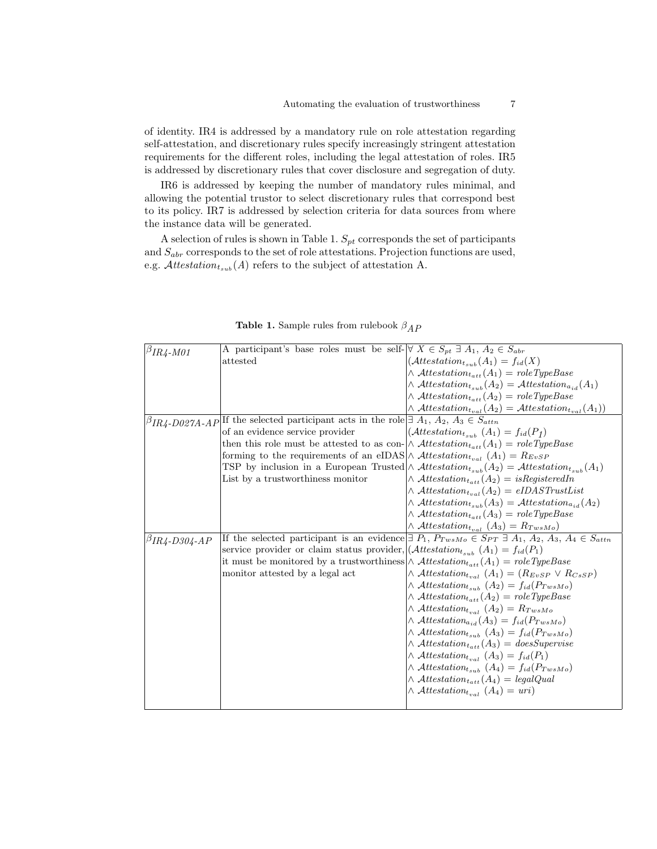of identity. IR4 is addressed by a mandatory rule on role attestation regarding self-attestation, and discretionary rules specify increasingly stringent attestation requirements for the different roles, including the legal attestation of roles. IR5 is addressed by discretionary rules that cover disclosure and segregation of duty.

IR6 is addressed by keeping the number of mandatory rules minimal, and allowing the potential trustor to select discretionary rules that correspond best to its policy. IR7 is addressed by selection criteria for data sources from where the instance data will be generated.

A selection of rules is shown in Table 1.  $S_{pt}$  corresponds the set of participants and  $S_{abr}$  corresponds to the set of role attestations. Projection functions are used, e.g.  $Attention_{t_{sub}}(A)$  refers to the subject of attestation A.

| $\beta_{IR4\text{-}M01}$ | A participant's base roles must be self- $\forall X \in S_{pt} \exists A_1, A_2 \in S_{abr}$                       |                                                                                                                                                                     |
|--------------------------|--------------------------------------------------------------------------------------------------------------------|---------------------------------------------------------------------------------------------------------------------------------------------------------------------|
|                          | attested                                                                                                           | $(\mathcal{A}t testation_{t_{sub}}(A_1) = f_{id}(X))$                                                                                                               |
|                          |                                                                                                                    | $\wedge$ Attestation <sub>tatt</sub> (A <sub>1</sub> ) = roleTypeBase                                                                                               |
|                          |                                                                                                                    | $\wedge$ Attestation <sub>t<sub>sub</sub></sub> $(A_2) =$ Attestation <sub>a<sub>id</sub></sub> $(A_1)$                                                             |
|                          |                                                                                                                    | $\Lambda$ Attestation <sub>t<sub>att</sub></sub> $(A_2)$ = roleTypeBase                                                                                             |
|                          |                                                                                                                    | $\Lambda$ Attestation <sub>t<sub>val</sub></sub> $(A_2) =$ Attestation <sub>t<sub>val</sub></sub> $(A_1)$                                                           |
|                          | $\beta_{IR4-D027A-AP}$ If the selected participant acts in the role $\exists A_1, A_2, A_3 \in S_{attn}$           |                                                                                                                                                                     |
|                          | of an evidence service provider                                                                                    | $\mathcal{A}t testation_{t_{sub}}(A_1) = f_{id}(P_1)$                                                                                                               |
|                          | then this role must be attested to as con- $ \wedge$ Attestation <sub>t<sub>att</sub></sub> $(A_1)$ = roleTypeBase |                                                                                                                                                                     |
|                          | forming to the requirements of an eIDAS $\wedge$ Attestation <sub>trial</sub> $(A_1) = R_{EvSP}$                   |                                                                                                                                                                     |
|                          |                                                                                                                    | TSP by inclusion in a European Trusted $\wedge$ Attestation <sub>t<sub>syp</sub> <math>(A_2) =</math> Attestation<sub>t<sub>syp</sub></sub><math>(A_1)</math></sub> |
|                          | List by a trustworthiness monitor                                                                                  | $\wedge$ Attestation <sub>t<sub>att</sub></sub> $(A_2) = i s$ RegisteredIn                                                                                          |
|                          |                                                                                                                    | $\wedge$ Attestation <sub>t<sub>yal</sub></sub> $(A_2) = eIDASTrustList$                                                                                            |
|                          |                                                                                                                    | $\wedge$ Attestation <sub>t<sub>sub</sub></sub> $(A_3) =$ Attestation <sub>a<sub>id</sub></sub> $(A_2)$                                                             |
|                          |                                                                                                                    | $\Lambda$ Attestation <sub>tatt</sub> (A <sub>3</sub> ) = roleTypeBase                                                                                              |
|                          |                                                                                                                    | $\land$ Attestation <sub>t<sub>val</sub></sub> $(A_3) = R_{TwsMo}$                                                                                                  |
| $\beta$ IR4-D304-AP      |                                                                                                                    | If the selected participant is an evidence $\exists P_1, P_{TwsMo} \in S_{PT} \exists A_1, A_2, A_3, A_4 \in S_{attn}$                                              |
|                          | service provider or claim status provider, $(\mathcal{A}ttestation_{t_{sub}}(A_1) = f_{id}(P_1))$                  |                                                                                                                                                                     |
|                          | it must be monitored by a trustworthiness $\wedge$ Attestation <sub>tatt</sub> $(A_1) =$ role TypeBase             |                                                                                                                                                                     |
|                          | monitor attested by a legal act                                                                                    | $\wedge$ Attestation <sub>t<sub>val</sub></sub> $(A_1) = (R_{EvSP} \vee R_{CsSP})$                                                                                  |
|                          |                                                                                                                    | $\wedge$ Attestation <sub>t<sub>sub</sub> <math>(A_2) = f_{id}(P_{TwsMo})</math></sub>                                                                              |
|                          |                                                                                                                    | $\Lambda \text{ } Attestation_{t_{att}}(A_2) = roleTypeBase$                                                                                                        |
|                          |                                                                                                                    | $\wedge$ Attestation <sub>t<sub>val</sub></sub> $(A_2) = R_{TwsMo}$                                                                                                 |
|                          |                                                                                                                    | $\Lambda$ Attestation <sub>a<sub>id</sub></sub> $(A_3) = f_{id}(P_{TwsMo})$                                                                                         |
|                          |                                                                                                                    | $\land$ Attestation <sub>t<sub>sub</sub></sub> $(A_3) = f_{id}(P_{TwsMo})$                                                                                          |
|                          |                                                                                                                    | $\wedge$ Attestation <sub>t<sub>att</sub></sub> (A <sub>3</sub> ) = doesSupervise                                                                                   |
|                          |                                                                                                                    | $\wedge$ Attestation <sub>t<sub>ral</sub></sub> $(A_3) = f_{id}(P_1)$                                                                                               |
|                          |                                                                                                                    | $\Lambda$ Attestation <sub>t<sub>sub</sub></sub> $(A_4) = f_{id}(P_{TwsMo})$                                                                                        |
|                          |                                                                                                                    | $\wedge$ Attestation <sub>tatt</sub> (A <sub>4</sub> ) = legalQual                                                                                                  |
|                          |                                                                                                                    | $\wedge$ Attestation <sub>t<sub>val</sub></sub> $(A_4) = uri$                                                                                                       |
|                          |                                                                                                                    |                                                                                                                                                                     |

Table 1. Sample rules from rulebook  $\beta_{AP}$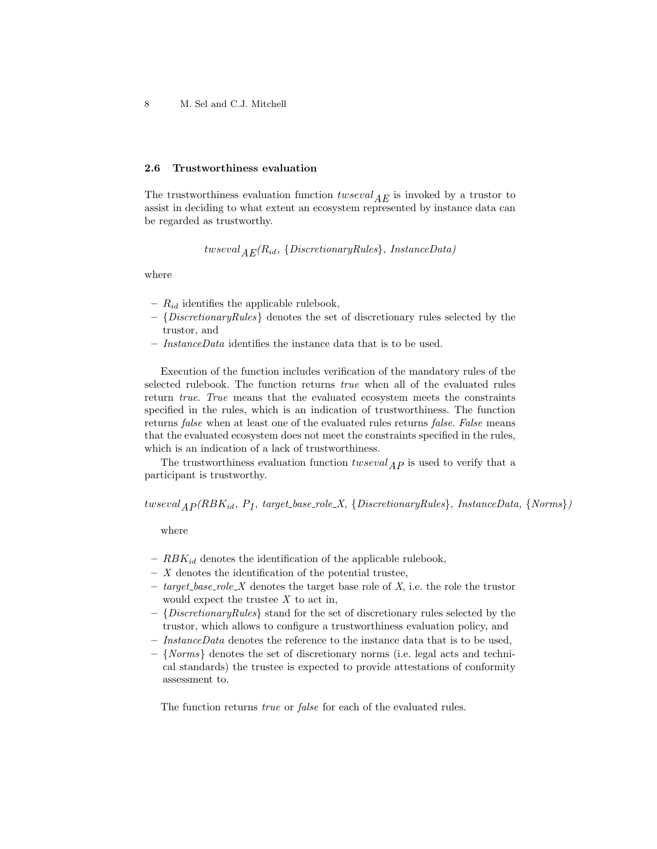#### 2.6 Trustworthiness evaluation

The trustworthiness evaluation function  $tweeval_{AE}$  is invoked by a trustor to assist in deciding to what extent an ecosystem represented by instance data can be regarded as trustworthy.

twseval  $_{AE}(R_{id}, \{DiscretionaryRules\}, InstanceData)$ 

where

- $R_{id}$  identifies the applicable rulebook,
- {DiscretionaryRules} denotes the set of discretionary rules selected by the trustor, and
- InstanceData identifies the instance data that is to be used.

Execution of the function includes verification of the mandatory rules of the selected rulebook. The function returns true when all of the evaluated rules return true. True means that the evaluated ecosystem meets the constraints specified in the rules, which is an indication of trustworthiness. The function returns false when at least one of the evaluated rules returns false. False means that the evaluated ecosystem does not meet the constraints specified in the rules, which is an indication of a lack of trustworthiness.

The trustworthiness evaluation function  $twseval_A p$  is used to verify that a participant is trustworthy.

 $twseval_{AP}(RBK_{id}, P_1, \: target\_base\_role\_X, \: \{DiscretionaryRules\}, \:InstanceData, \: \{Norms\})$ 

where

- $RBK_{id}$  denotes the identification of the applicable rulebook,
- $-$  X denotes the identification of the potential trustee,
- target base\_role\_X denotes the target base role of  $X$ , i.e. the role the trustor would expect the trustee  $X$  to act in,
- $-$  {DiscretionaryRules} stand for the set of discretionary rules selected by the trustor, which allows to configure a trustworthiness evaluation policy, and
- $-$  InstanceData denotes the reference to the instance data that is to be used,
- {Norms} denotes the set of discretionary norms (i.e. legal acts and technical standards) the trustee is expected to provide attestations of conformity assessment to.

The function returns *true* or *false* for each of the evaluated rules.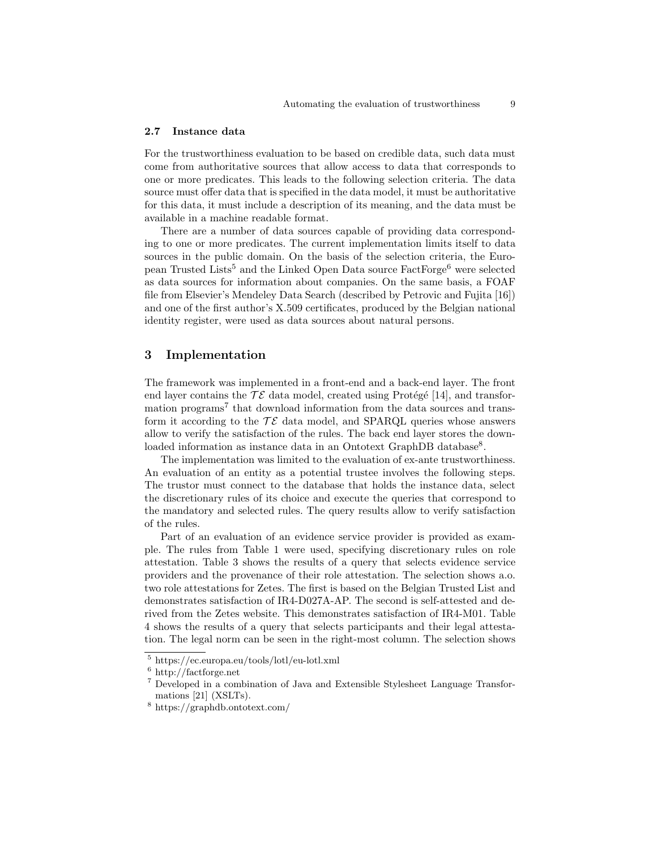#### 2.7 Instance data

For the trustworthiness evaluation to be based on credible data, such data must come from authoritative sources that allow access to data that corresponds to one or more predicates. This leads to the following selection criteria. The data source must offer data that is specified in the data model, it must be authoritative for this data, it must include a description of its meaning, and the data must be available in a machine readable format.

There are a number of data sources capable of providing data corresponding to one or more predicates. The current implementation limits itself to data sources in the public domain. On the basis of the selection criteria, the European Trusted Lists<sup>5</sup> and the Linked Open Data source FactForge<sup>6</sup> were selected as data sources for information about companies. On the same basis, a FOAF file from Elsevier's Mendeley Data Search (described by Petrovic and Fujita [16]) and one of the first author's X.509 certificates, produced by the Belgian national identity register, were used as data sources about natural persons.

### 3 Implementation

The framework was implemented in a front-end and a back-end layer. The front end layer contains the  $\mathcal{TE}$  data model, created using Protégé [14], and transformation programs<sup>7</sup> that download information from the data sources and transform it according to the  $\mathcal{TE}$  data model, and SPARQL queries whose answers allow to verify the satisfaction of the rules. The back end layer stores the downloaded information as instance data in an Ontotext GraphDB database<sup>8</sup>.

The implementation was limited to the evaluation of ex-ante trustworthiness. An evaluation of an entity as a potential trustee involves the following steps. The trustor must connect to the database that holds the instance data, select the discretionary rules of its choice and execute the queries that correspond to the mandatory and selected rules. The query results allow to verify satisfaction of the rules.

Part of an evaluation of an evidence service provider is provided as example. The rules from Table 1 were used, specifying discretionary rules on role attestation. Table 3 shows the results of a query that selects evidence service providers and the provenance of their role attestation. The selection shows a.o. two role attestations for Zetes. The first is based on the Belgian Trusted List and demonstrates satisfaction of IR4-D027A-AP. The second is self-attested and derived from the Zetes website. This demonstrates satisfaction of IR4-M01. Table 4 shows the results of a query that selects participants and their legal attestation. The legal norm can be seen in the right-most column. The selection shows

<sup>5</sup> https://ec.europa.eu/tools/lotl/eu-lotl.xml

<sup>6</sup> http://factforge.net

<sup>7</sup> Developed in a combination of Java and Extensible Stylesheet Language Transformations [21] (XSLTs).

<sup>8</sup> https://graphdb.ontotext.com/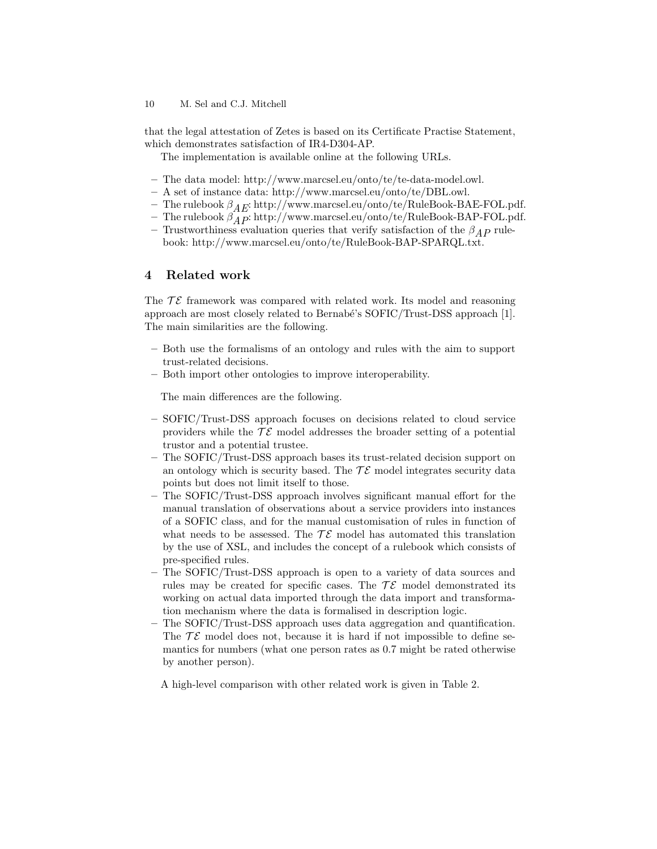#### 10 M. Sel and C.J. Mitchell

that the legal attestation of Zetes is based on its Certificate Practise Statement, which demonstrates satisfaction of IR4-D304-AP.

The implementation is available online at the following URLs.

- The data model: http://www.marcsel.eu/onto/te/te-data-model.owl.
- A set of instance data: http://www.marcsel.eu/onto/te/DBL.owl.
- The rulebook  $\beta_{AE}$ : http://www.marcsel.eu/onto/te/RuleBook-BAE-FOL.pdf.
- The rulebook  $\beta_A p$ : http://www.marcsel.eu/onto/te/RuleBook-BAP-FOL.pdf.
- Trustworthiness evaluation queries that verify satisfaction of the  $\beta_{AP}$  rulebook: http://www.marcsel.eu/onto/te/RuleBook-BAP-SPARQL.txt.

## 4 Related work

The  $\mathcal{TE}$  framework was compared with related work. Its model and reasoning approach are most closely related to Bernabé's  $SOFIC/Tust-DSS$  approach [1]. The main similarities are the following.

- Both use the formalisms of an ontology and rules with the aim to support trust-related decisions.
- Both import other ontologies to improve interoperability.

The main differences are the following.

- SOFIC/Trust-DSS approach focuses on decisions related to cloud service providers while the  $\mathcal{TE}$  model addresses the broader setting of a potential trustor and a potential trustee.
- The SOFIC/Trust-DSS approach bases its trust-related decision support on an ontology which is security based. The  $\mathcal{TE}$  model integrates security data points but does not limit itself to those.
- The SOFIC/Trust-DSS approach involves significant manual effort for the manual translation of observations about a service providers into instances of a SOFIC class, and for the manual customisation of rules in function of what needs to be assessed. The  $\mathcal{TE}$  model has automated this translation by the use of XSL, and includes the concept of a rulebook which consists of pre-specified rules.
- The SOFIC/Trust-DSS approach is open to a variety of data sources and rules may be created for specific cases. The  $\mathcal{TE}$  model demonstrated its working on actual data imported through the data import and transformation mechanism where the data is formalised in description logic.
- The SOFIC/Trust-DSS approach uses data aggregation and quantification. The  $\mathcal{TE}$  model does not, because it is hard if not impossible to define semantics for numbers (what one person rates as 0.7 might be rated otherwise by another person).

A high-level comparison with other related work is given in Table 2.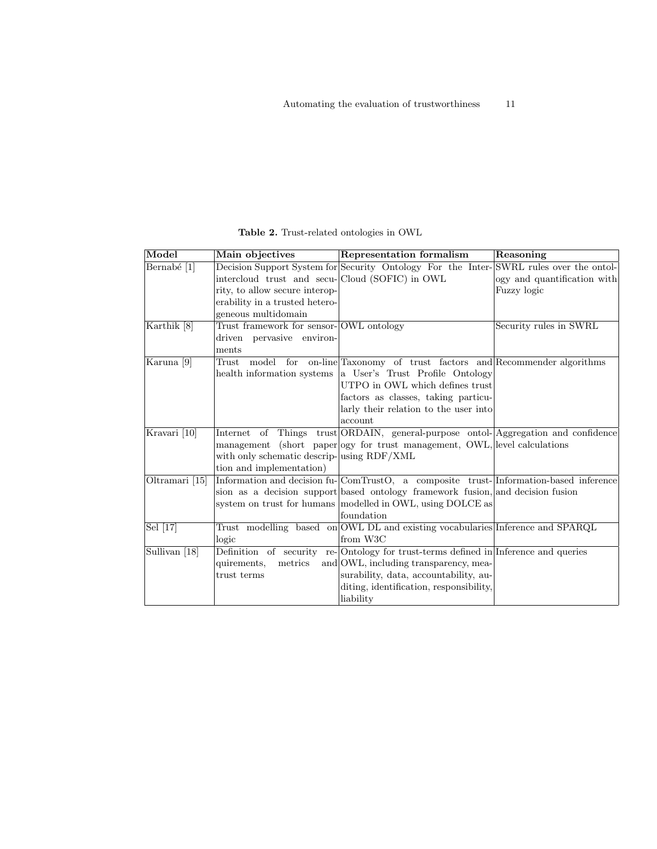| Model                  | Main objectives                                | <b>Representation formalism</b>                                                        | Reasoning                   |
|------------------------|------------------------------------------------|----------------------------------------------------------------------------------------|-----------------------------|
| Bernabé <sup>[1]</sup> |                                                | Decision Support System for Security Ontology For the Inter-SWRL rules over the ontol- |                             |
|                        | intercloud trust and secu-Cloud (SOFIC) in OWL |                                                                                        | ogy and quantification with |
|                        | rity, to allow secure interop-                 |                                                                                        | Fuzzy logic                 |
|                        | erability in a trusted hetero-                 |                                                                                        |                             |
|                        | geneous multidomain                            |                                                                                        |                             |
| Karthik $[8]$          | Trust framework for sensor-OWL ontology        |                                                                                        | Security rules in SWRL      |
|                        | driven pervasive environ-                      |                                                                                        |                             |
|                        | ments                                          |                                                                                        |                             |
| Karuna [9]             | Trust                                          | model for on-line Taxonomy of trust factors and Recommender algorithms                 |                             |
|                        |                                                | health information systems a User's Trust Profile Ontology                             |                             |
|                        |                                                | UTPO in OWL which defines trust                                                        |                             |
|                        |                                                | factors as classes, taking particu-                                                    |                             |
|                        |                                                | larly their relation to the user into                                                  |                             |
|                        |                                                | account                                                                                |                             |
| Kravari [10]           |                                                | Internet of Things trust ORDAIN, general-purpose ontol- Aggregation and confidence     |                             |
|                        |                                                | management (short paper ogy for trust management, OWL, level calculations              |                             |
|                        | with only schematic descrip-using RDF/XML      |                                                                                        |                             |
|                        | tion and implementation)                       |                                                                                        |                             |
| Oltramari [15]         |                                                | Information and decision fu-ComTrustO, a composite trust-Information-based inference   |                             |
|                        |                                                | sion as a decision support based ontology framework fusion, and decision fusion        |                             |
|                        |                                                | system on trust for humans modelled in OWL, using DOLCE as                             |                             |
|                        |                                                | foundation                                                                             |                             |
| Sel [17]               |                                                | Trust modelling based on OWL DL and existing vocabularies Inference and SPARQL         |                             |
|                        | logic                                          | from W3C                                                                               |                             |
| Sullivan [18]          |                                                | Definition of security re-Ontology for trust-terms defined in Inference and queries    |                             |
|                        | metrics<br>quirements,                         | and OWL, including transparency, mea-                                                  |                             |
|                        | trust terms                                    | surability, data, accountability, au-                                                  |                             |
|                        |                                                | diting, identification, responsibility,                                                |                             |
|                        |                                                | liability                                                                              |                             |

Table 2. Trust-related ontologies in OWL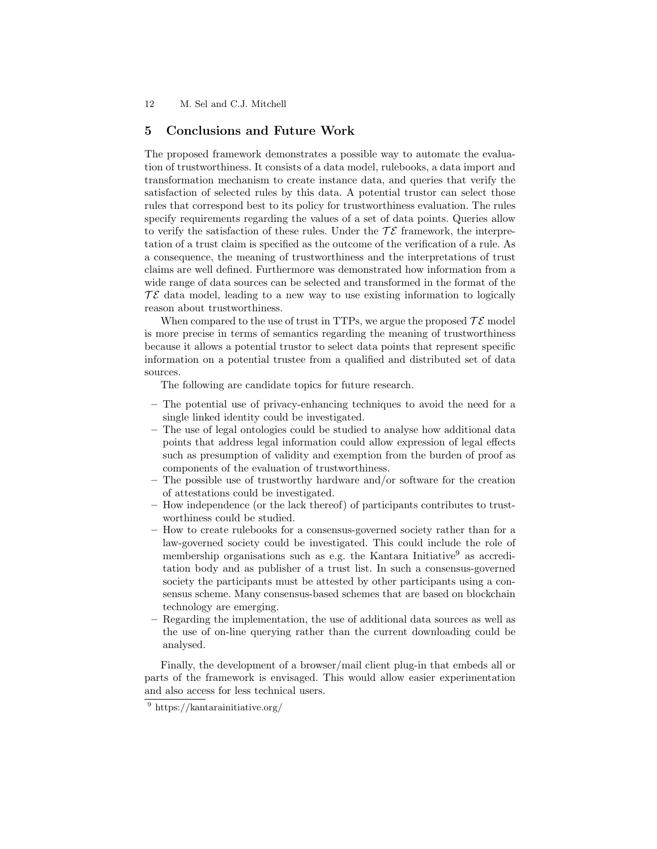12 M. Sel and C.J. Mitchell

# 5 Conclusions and Future Work

The proposed framework demonstrates a possible way to automate the evaluation of trustworthiness. It consists of a data model, rulebooks, a data import and transformation mechanism to create instance data, and queries that verify the satisfaction of selected rules by this data. A potential trustor can select those rules that correspond best to its policy for trustworthiness evaluation. The rules specify requirements regarding the values of a set of data points. Queries allow to verify the satisfaction of these rules. Under the  $\mathcal{TE}$  framework, the interpretation of a trust claim is specified as the outcome of the verification of a rule. As a consequence, the meaning of trustworthiness and the interpretations of trust claims are well defined. Furthermore was demonstrated how information from a wide range of data sources can be selected and transformed in the format of the  $\mathcal{TE}$  data model, leading to a new way to use existing information to logically reason about trustworthiness.

When compared to the use of trust in TTPs, we argue the proposed  $\mathcal{TE}$  model is more precise in terms of semantics regarding the meaning of trustworthiness because it allows a potential trustor to select data points that represent specific information on a potential trustee from a qualified and distributed set of data sources.

The following are candidate topics for future research.

- The potential use of privacy-enhancing techniques to avoid the need for a single linked identity could be investigated.
- The use of legal ontologies could be studied to analyse how additional data points that address legal information could allow expression of legal effects such as presumption of validity and exemption from the burden of proof as components of the evaluation of trustworthiness.
- The possible use of trustworthy hardware and/or software for the creation of attestations could be investigated.
- How independence (or the lack thereof) of participants contributes to trustworthiness could be studied.
- How to create rulebooks for a consensus-governed society rather than for a law-governed society could be investigated. This could include the role of membership organisations such as e.g. the Kantara Initiative<sup>9</sup> as accreditation body and as publisher of a trust list. In such a consensus-governed society the participants must be attested by other participants using a consensus scheme. Many consensus-based schemes that are based on blockchain technology are emerging.
- Regarding the implementation, the use of additional data sources as well as the use of on-line querying rather than the current downloading could be analysed.

Finally, the development of a browser/mail client plug-in that embeds all or parts of the framework is envisaged. This would allow easier experimentation and also access for less technical users.

<sup>9</sup> https://kantarainitiative.org/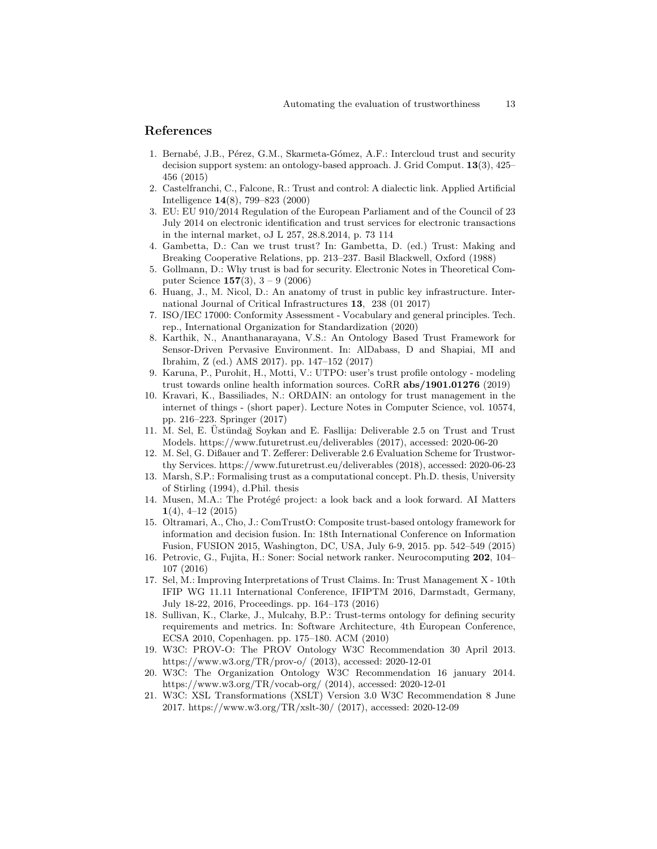## References

- 1. Bernabé, J.B., Pérez, G.M., Skarmeta-Gómez, A.F.: Intercloud trust and security decision support system: an ontology-based approach. J. Grid Comput. 13(3), 425– 456 (2015)
- 2. Castelfranchi, C., Falcone, R.: Trust and control: A dialectic link. Applied Artificial Intelligence 14(8), 799–823 (2000)
- 3. EU: EU 910/2014 Regulation of the European Parliament and of the Council of 23 July 2014 on electronic identification and trust services for electronic transactions in the internal market, oJ L 257, 28.8.2014, p. 73 114
- 4. Gambetta, D.: Can we trust trust? In: Gambetta, D. (ed.) Trust: Making and Breaking Cooperative Relations, pp. 213–237. Basil Blackwell, Oxford (1988)
- 5. Gollmann, D.: Why trust is bad for security. Electronic Notes in Theoretical Computer Science  $157(3)$ ,  $3 - 9$  (2006)
- 6. Huang, J., M. Nicol, D.: An anatomy of trust in public key infrastructure. International Journal of Critical Infrastructures 13, 238 (01 2017)
- 7. ISO/IEC 17000: Conformity Assessment Vocabulary and general principles. Tech. rep., International Organization for Standardization (2020)
- 8. Karthik, N., Ananthanarayana, V.S.: An Ontology Based Trust Framework for Sensor-Driven Pervasive Environment. In: AlDabass, D and Shapiai, MI and Ibrahim, Z (ed.) AMS 2017). pp. 147–152 (2017)
- 9. Karuna, P., Purohit, H., Motti, V.: UTPO: user's trust profile ontology modeling trust towards online health information sources. CoRR abs/1901.01276 (2019)
- 10. Kravari, K., Bassiliades, N.: ORDAIN: an ontology for trust management in the internet of things - (short paper). Lecture Notes in Computer Science, vol. 10574, pp. 216–223. Springer (2017)
- 11. M. Sel, E. Üstündağ Soykan and E. Fasllija: Deliverable 2.5 on Trust and Trust Models. https://www.futuretrust.eu/deliverables (2017), accessed: 2020-06-20
- 12. M. Sel, G. Dißauer and T. Zefferer: Deliverable 2.6 Evaluation Scheme for Trustworthy Services. https://www.futuretrust.eu/deliverables (2018), accessed: 2020-06-23
- 13. Marsh, S.P.: Formalising trust as a computational concept. Ph.D. thesis, University of Stirling (1994), d.Phil. thesis
- 14. Musen, M.A.: The Protégé project: a look back and a look forward. AI Matters 1(4), 4–12 (2015)
- 15. Oltramari, A., Cho, J.: ComTrustO: Composite trust-based ontology framework for information and decision fusion. In: 18th International Conference on Information Fusion, FUSION 2015, Washington, DC, USA, July 6-9, 2015. pp. 542–549 (2015)
- 16. Petrovic, G., Fujita, H.: Soner: Social network ranker. Neurocomputing 202, 104– 107 (2016)
- 17. Sel, M.: Improving Interpretations of Trust Claims. In: Trust Management X 10th IFIP WG 11.11 International Conference, IFIPTM 2016, Darmstadt, Germany, July 18-22, 2016, Proceedings. pp. 164–173 (2016)
- 18. Sullivan, K., Clarke, J., Mulcahy, B.P.: Trust-terms ontology for defining security requirements and metrics. In: Software Architecture, 4th European Conference, ECSA 2010, Copenhagen. pp. 175–180. ACM (2010)
- 19. W3C: PROV-O: The PROV Ontology W3C Recommendation 30 April 2013. https://www.w3.org/TR/prov-o/ (2013), accessed: 2020-12-01
- 20. W3C: The Organization Ontology W3C Recommendation 16 january 2014. https://www.w3.org/TR/vocab-org/ (2014), accessed: 2020-12-01
- 21. W3C: XSL Transformations (XSLT) Version 3.0 W3C Recommendation 8 June 2017. https://www.w3.org/TR/xslt-30/ (2017), accessed: 2020-12-09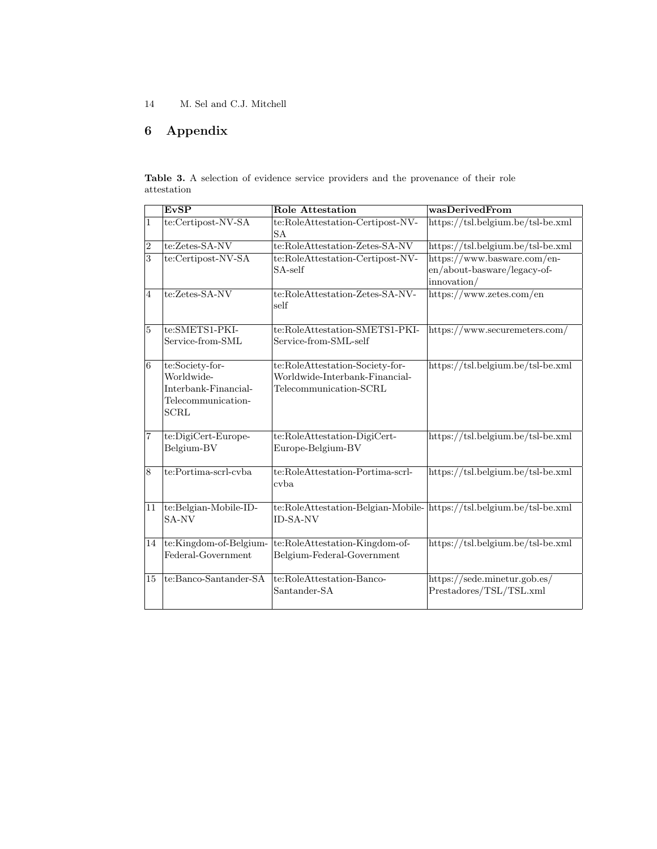# 6 Appendix

Table 3. A selection of evidence service providers and the provenance of their role attestation

|                | <b>EvSP</b>                                                                                | <b>Role Attestation</b>                                                                     | wasDerivedFrom                                                            |
|----------------|--------------------------------------------------------------------------------------------|---------------------------------------------------------------------------------------------|---------------------------------------------------------------------------|
| $\overline{1}$ | te:Certipost-NV-SA                                                                         | te:RoleAttestation-Certipost-NV-<br><b>SA</b>                                               | https://tsl.belgium.be/tsl-be.xml                                         |
| $\overline{2}$ | te:Zetes-SA-NV                                                                             | te:RoleAttestation-Zetes-SA-NV                                                              | https://tsl.belgium.be/tsl-be.xml                                         |
| $\overline{3}$ | te:Certipost-NV-SA                                                                         | te:RoleAttestation-Certipost-NV-<br>SA-self                                                 | https://www.basware.com/en-<br>en/about-basware/legacy-of-<br>innovation/ |
| 4              | te:Zetes-SA-NV                                                                             | te:RoleAttestation-Zetes-SA-NV-<br>self                                                     | https://www.zetes.com/en                                                  |
| $\overline{5}$ | te:SMETS1-PKI-<br>Service-from-SML                                                         | te:RoleAttestation-SMETS1-PKI-<br>Service-from-SML-self                                     | https://www.securemeters.com/                                             |
| $\overline{6}$ | te:Society-for-<br>Worldwide-<br>Interbank-Financial-<br>Telecommunication-<br><b>SCRL</b> | te:RoleAttestation-Society-for-<br>Worldwide-Interbank-Financial-<br>Telecommunication-SCRL | https://tsl.belgium.be/tsl-be.xml                                         |
| $\overline{7}$ | te:DigiCert-Europe-<br>Belgium-BV                                                          | te:RoleAttestation-DigiCert-<br>Europe-Belgium-BV                                           | https://tsl.belgium.be/tsl-be.xml                                         |
| $\overline{8}$ | te:Portima-scrl-cvba                                                                       | te:RoleAttestation-Portima-scrl-<br>cyba                                                    | https://tsl.belgium.be/tsl-be.xml                                         |
| 11             | te:Belgian-Mobile-ID-<br>SA-NV                                                             | te:RoleAttestation-Belgian-Mobile- https://tsl.belgium.be/tsl-be.xml<br><b>ID-SA-NV</b>     |                                                                           |
| 14             | te:Kingdom-of-Belgium-<br>Federal-Government                                               | te:RoleAttestation-Kingdom-of-<br>Belgium-Federal-Government                                | https://tsl.belgium.be/tsl-be.xml                                         |
| 15             | te:Banco-Santander-SA                                                                      | te:RoleAttestation-Banco-<br>Santander-SA                                                   | https://sede.minetur.gob.es/<br>Prestadores/TSL/TSL.xml                   |